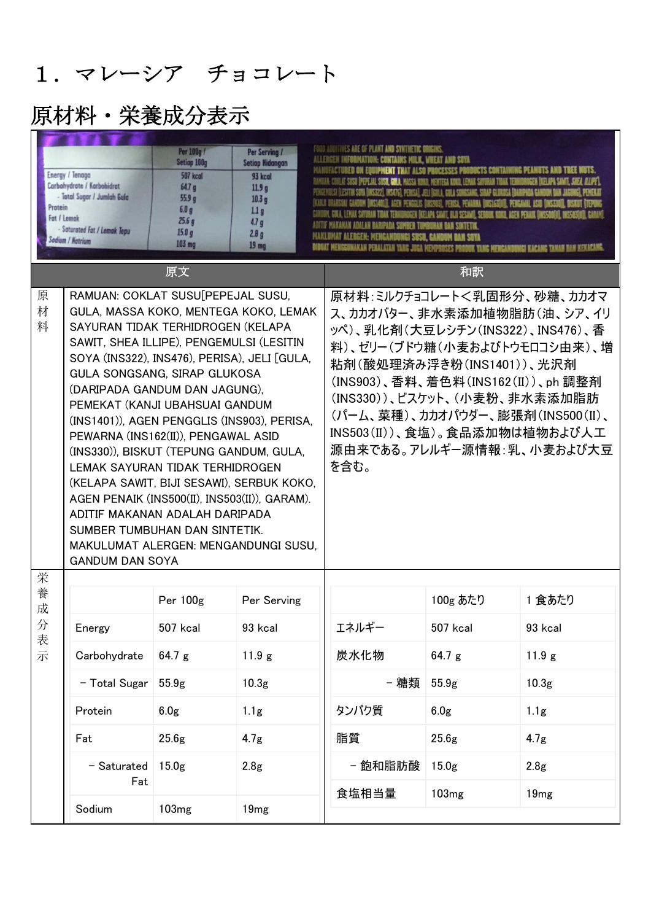## 1.マレーシア チョコレート

### 原材料・栄養成分表示

|             | Per 100g /<br>Per Serving /<br>Setiap 100g<br><b>Setiap Hidangan</b><br>Energy / Tenaga<br><b>507 kcal</b><br>93 kcal<br>Carbohydrate / Karbohidrat<br>64.7 <sub>g</sub><br>11.9 <sub>g</sub><br>- Total Sugar / Jumlah Gula<br>55.9 <sub>a</sub><br>10.3 <sub>g</sub><br>Protein<br>6.0q<br>1.1 <sub>g</sub><br>Fat / Lemak<br>25.6g<br>4.7 <sub>q</sub><br>- Soturated Fat / Lemak Tepu<br>15.0 <sub>g</sub><br>2.8 <sub>g</sub><br>Sodium / Hatrium<br>103 mg<br>19 <sub>mg</sub>                                                                                                                                                                                                        |                   |                                                                                                                                                                                                                                                                                                                                           | FOOD ADDITIVES ARE OF PLANT AND SYNTHETIC |                   |                   |
|-------------|---------------------------------------------------------------------------------------------------------------------------------------------------------------------------------------------------------------------------------------------------------------------------------------------------------------------------------------------------------------------------------------------------------------------------------------------------------------------------------------------------------------------------------------------------------------------------------------------------------------------------------------------------------------------------------------------|-------------------|-------------------------------------------------------------------------------------------------------------------------------------------------------------------------------------------------------------------------------------------------------------------------------------------------------------------------------------------|-------------------------------------------|-------------------|-------------------|
|             |                                                                                                                                                                                                                                                                                                                                                                                                                                                                                                                                                                                                                                                                                             | 原文                |                                                                                                                                                                                                                                                                                                                                           |                                           | 和訳                |                   |
| 原<br>材<br>料 | RAMUAN: COKLAT SUSU[PEPEJAL SUSU,<br>GULA, MASSA KOKO, MENTEGA KOKO, LEMAK<br>SAYURAN TIDAK TERHIDROGEN (KELAPA<br>SAWIT, SHEA ILLIPE), PENGEMULSI (LESITIN<br>SOYA (INS322), INS476), PERISA), JELI [GULA,<br>GULA SONGSANG, SIRAP GLUKOSA<br>(DARIPADA GANDUM DAN JAGUNG),<br>PEMEKAT (KANJI UBAHSUAI GANDUM<br>(INS1401)), AGEN PENGGLIS (INS903), PERISA,<br>PEWARNA (INS162(II)), PENGAWAL ASID<br>(INS330)), BISKUT (TEPUNG GANDUM, GULA,<br>LEMAK SAYURAN TIDAK TERHIDROGEN<br>(KELAPA SAWIT, BIJI SESAWI), SERBUK KOKO,<br>AGEN PENAIK (INS500(II), INS503(II)), GARAM).<br>ADITIF MAKANAN ADALAH DARIPADA<br>SUMBER TUMBUHAN DAN SINTETIK.<br>MAKULUMAT ALERGEN: MENGANDUNGI SUSU, |                   | 原材料:ミルクチョコレート<乳固形分、砂糖、カカオマ<br>ス、カカオバター、非水素添加植物脂肪(油、シア、イリ<br>ッペ)、乳化剤(大豆レシチン(INS322)、INS476)、香<br>料)、ゼリー(ブドウ糖(小麦およびトウモロコシ由来)、増<br>粘剤(酸処理済み浮き粉(INS1401))、光沢剤<br>(INS903)、香料、着色料(INS162(II))、ph 調整剤<br>(INS330))、ビスケット、(小麦粉、非水素添加脂肪<br>(パーム、菜種)、カカオパウダー、膨張剤(INS500(II)、<br>INS503(II))、食塩)。食品添加物は植物および人工<br>源由来である。アレルギー源情報:乳、小麦および大豆<br>を含む。 |                                           |                   |                   |
| 栄<br>養      |                                                                                                                                                                                                                                                                                                                                                                                                                                                                                                                                                                                                                                                                                             | Per 100g          | Per Serving                                                                                                                                                                                                                                                                                                                               |                                           | 100g あたり          | 1 食あたり            |
| 成<br>分      | Energy                                                                                                                                                                                                                                                                                                                                                                                                                                                                                                                                                                                                                                                                                      | 507 kcal          | 93 kcal                                                                                                                                                                                                                                                                                                                                   | エネルギー                                     | 507 kcal          | 93 kcal           |
| 表示          | Carbohydrate                                                                                                                                                                                                                                                                                                                                                                                                                                                                                                                                                                                                                                                                                | 64.7 g            | 11.9 g                                                                                                                                                                                                                                                                                                                                    | 炭水化物                                      | 64.7 g            | 11.9 g            |
|             | - Total Sugar                                                                                                                                                                                                                                                                                                                                                                                                                                                                                                                                                                                                                                                                               | 55.9g             | 10.3 <sub>g</sub>                                                                                                                                                                                                                                                                                                                         | - 糖類                                      | 55.9g             | 10.3 <sub>g</sub> |
|             | Protein                                                                                                                                                                                                                                                                                                                                                                                                                                                                                                                                                                                                                                                                                     | 6.0 <sub>g</sub>  | 1.1 <sub>g</sub>                                                                                                                                                                                                                                                                                                                          | タンパク質                                     | 6.0 <sub>g</sub>  | 1.1 <sub>g</sub>  |
|             | Fat                                                                                                                                                                                                                                                                                                                                                                                                                                                                                                                                                                                                                                                                                         | 25.6g             | 4.7 <sub>g</sub>                                                                                                                                                                                                                                                                                                                          | 脂質                                        | 25.6g             | 4.7 <sub>g</sub>  |
|             | - Saturated<br>Fat                                                                                                                                                                                                                                                                                                                                                                                                                                                                                                                                                                                                                                                                          | 15.0 <sub>g</sub> | 2.8 <sub>g</sub>                                                                                                                                                                                                                                                                                                                          | - 飽和脂肪酸                                   | 15.0 <sub>g</sub> | 2.8 <sub>g</sub>  |
|             | Sodium                                                                                                                                                                                                                                                                                                                                                                                                                                                                                                                                                                                                                                                                                      | 103 <sub>mg</sub> | 19 <sub>mg</sub>                                                                                                                                                                                                                                                                                                                          | 食塩相当量                                     | 103 <sub>mg</sub> | 19mg              |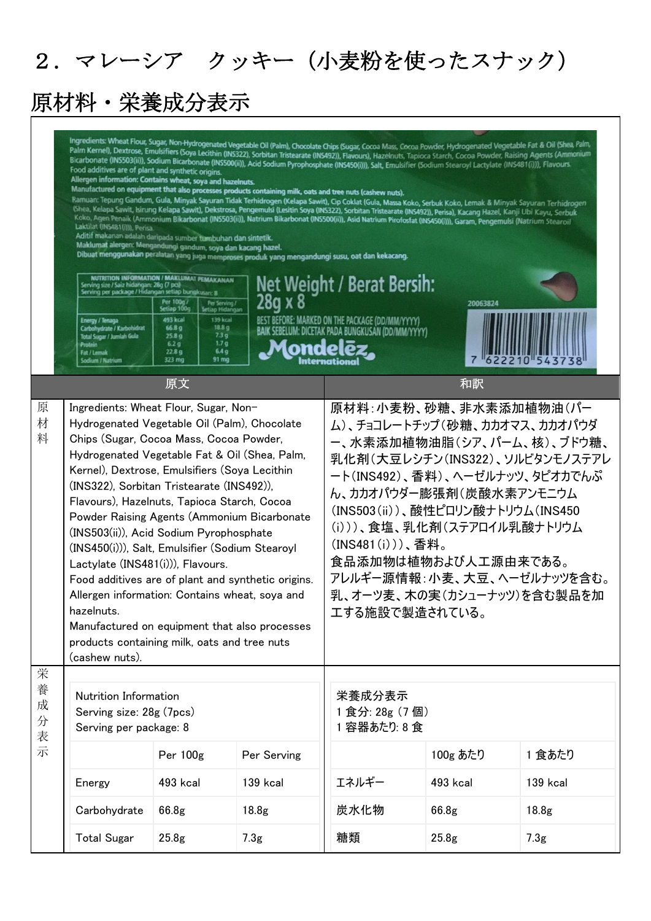## 2.マレーシア クッキー(小麦粉を使ったスナック)

 $\overline{\phantom{a}}$ 

# 原材料・栄養成分表示

|             | Ingredients: Wheat Flour, Sugar, Non-Hydrogenated Vegetable Oil (Palm), Chocolate Chips (Sugar, Cocoa Mass, Cocoa Powder, Hydrogenated Vegetable Fat & Oil (Shea, Palm,<br>Palm Kernel), Dextrose, Emulsifiers (Soya Lecithin (INS322), Sorbitan Tristearate (INS492)), Flavours), Hazelnuts, Tapioca Starch, Cocoa Powder, Raising Agents (Ammonium<br>Bicarbonate (INS503(ii)), Sodium Bicarbonate (INS500(ii)), Acid Sodium Pyrophosphate (INS450(i))), Salt, Emulsifier (Sodium Stearoyl Lactylate (INS481(i))), Flavours.<br>Food additives are of plant and synthetic origins.<br>Allergen information: Contains wheat, soya and hazelnuts.<br>Manufactured on equipment that also processes products containing milk, oats and tree nuts (cashew nuts).<br>Ramuan: Tepung Gandum, Gula, Minyak Sayuran Tidak Terhidrogen (Kelapa Sawit), Cip Coklat (Gula, Massa Koko, Serbuk Koko, Lemak & Minyak Sayuran Terhidrogen<br>(Shea, Kelapa Sawit, Isirung Kelapa Sawit), Dekstrosa, Pengemulsi (Lesitin Soya (INS322), Sorbitan Tristearate (INS492)), Perisa), Kacang Hazel, Kanji Ubi Kayu, Serbuk<br>Koko, Agen Penaik (Ammonium Bikarbonat (INS503(ii)), Natrium Bikarbonat (INS500(ii)), Asid Natrium Pirofosfat (INS450(i))), Garam, Pengemulsi (Natrium Stearoil<br>Laktilat (INS481(i))), Perisa.<br>Aditif makanan adalah daripada sumber tumbuhan dan sintetik.<br>Maklumat alergen: Mengandungi gandum, soya dan kacang hazel.<br>Dibuat menggunakan peralatan yang juga memproses produk yang mengandungi susu, oat dan kekacang.<br><b>NUTRITION INFORMATION / MAKLUMAT PEMAKANAN</b><br>Net Weight / Berat Bersih:<br>Serving size / Saiz hidangan: 28g (7 pcs)<br>Serving per package / Hidangan setiap bungkusan: 8<br>28g x 8<br>Per 100g/<br>Setiap 100g<br>Per Serving /<br>Setiap Hidangan<br>20063824<br>493 kcal<br>139 kcal<br>BEST BEFORE: MARKED ON THE PACKAGE (DD/MM/YYYY)<br><b>Energy / Tenaga</b><br>Carbohydrate / Karbohidrat<br>18.8 <sub>g</sub><br>66.8 <sub>g</sub><br>BAIK SEBELUM: DICETAK PADA BUNGKUSAN (DD/MM/YYYY)<br>73g<br>25.8 <sub>9</sub><br>Total Sugar / Jumlah Gula<br>1.7 <sub>g</sub><br>6.2 <sub>g</sub><br><b>Protein</b><br>6.4 <sub>9</sub><br>22.8 <sub>9</sub><br>Fat / Lemak<br>323 mg<br>91 mg<br>Sodium / Natrium |                   |                   |                                                                                                                                                                                                                                                                                                                                                                                   |                   |                   |  |
|-------------|------------------------------------------------------------------------------------------------------------------------------------------------------------------------------------------------------------------------------------------------------------------------------------------------------------------------------------------------------------------------------------------------------------------------------------------------------------------------------------------------------------------------------------------------------------------------------------------------------------------------------------------------------------------------------------------------------------------------------------------------------------------------------------------------------------------------------------------------------------------------------------------------------------------------------------------------------------------------------------------------------------------------------------------------------------------------------------------------------------------------------------------------------------------------------------------------------------------------------------------------------------------------------------------------------------------------------------------------------------------------------------------------------------------------------------------------------------------------------------------------------------------------------------------------------------------------------------------------------------------------------------------------------------------------------------------------------------------------------------------------------------------------------------------------------------------------------------------------------------------------------------------------------------------------------------------------------------------------------------------------------------------------------------------------------------------------------------------------------------------------------------------------------------------------------------------------------------------------------------------------------------------------------------|-------------------|-------------------|-----------------------------------------------------------------------------------------------------------------------------------------------------------------------------------------------------------------------------------------------------------------------------------------------------------------------------------------------------------------------------------|-------------------|-------------------|--|
|             |                                                                                                                                                                                                                                                                                                                                                                                                                                                                                                                                                                                                                                                                                                                                                                                                                                                                                                                                                                                                                                                                                                                                                                                                                                                                                                                                                                                                                                                                                                                                                                                                                                                                                                                                                                                                                                                                                                                                                                                                                                                                                                                                                                                                                                                                                    | 原文                |                   |                                                                                                                                                                                                                                                                                                                                                                                   | 和訳                |                   |  |
| 原<br>材<br>料 | Ingredients: Wheat Flour, Sugar, Non-<br>Hydrogenated Vegetable Oil (Palm), Chocolate<br>Chips (Sugar, Cocoa Mass, Cocoa Powder,<br>Hydrogenated Vegetable Fat & Oil (Shea, Palm,<br>Kernel), Dextrose, Emulsifiers (Soya Lecithin<br>(INS322), Sorbitan Tristearate (INS492)),<br>Flavours), Hazelnuts, Tapioca Starch, Cocoa<br>Powder Raising Agents (Ammonium Bicarbonate<br>(INS503(ii)), Acid Sodium Pyrophosphate<br>(INS450(i))), Salt, Emulsifier (Sodium Stearoyl<br>Lactylate (INS481(i))), Flavours.<br>Food additives are of plant and synthetic origins.<br>Allergen information: Contains wheat, soya and<br>hazelnuts.<br>Manufactured on equipment that also processes<br>products containing milk, oats and tree nuts<br>(cashew nuts).                                                                                                                                                                                                                                                                                                                                                                                                                                                                                                                                                                                                                                                                                                                                                                                                                                                                                                                                                                                                                                                                                                                                                                                                                                                                                                                                                                                                                                                                                                                          |                   |                   | 原材料:小麦粉、砂糖、非水素添加植物油(パー<br>ム)、チョコレートチップ(砂糖、カカオマス、カカオパウダ<br>ー、水素添加植物油脂(シア、パーム、核)、ブドウ糖、<br>乳化剤 (大豆レシチン (INS322)、ソルビタンモノステアレ<br>ート(INS492)、香料)、ヘーゼルナッツ、タピオカでんぷ<br>ん、カカオパウダー膨張剤(炭酸水素アンモニウム<br>(INS503(ii))、酸性ピロリン酸ナトリウム(INS450<br>(i)))、食塩、乳化剤(ステアロイル乳酸ナトリウム<br>(INS481(i)))、香料。<br>食品添加物は植物および人工源由来である。<br>アレルギー源情報:小麦、大豆、ヘーゼルナッツを含む。<br>乳、オーツ麦、木の実(カシューナッツ)を含む製品を加<br>工する施設で製造されている。 |                   |                   |  |
| 栄<br>養      |                                                                                                                                                                                                                                                                                                                                                                                                                                                                                                                                                                                                                                                                                                                                                                                                                                                                                                                                                                                                                                                                                                                                                                                                                                                                                                                                                                                                                                                                                                                                                                                                                                                                                                                                                                                                                                                                                                                                                                                                                                                                                                                                                                                                                                                                                    |                   |                   |                                                                                                                                                                                                                                                                                                                                                                                   |                   |                   |  |
| 成<br>分<br>表 | Nutrition Information<br>Serving size: 28g (7pcs)<br>Serving per package: 8                                                                                                                                                                                                                                                                                                                                                                                                                                                                                                                                                                                                                                                                                                                                                                                                                                                                                                                                                                                                                                                                                                                                                                                                                                                                                                                                                                                                                                                                                                                                                                                                                                                                                                                                                                                                                                                                                                                                                                                                                                                                                                                                                                                                        |                   |                   | 栄養成分表示<br>1食分: 28g (7個)<br>1 容器あたり: 8 食                                                                                                                                                                                                                                                                                                                                           |                   |                   |  |
| 示           |                                                                                                                                                                                                                                                                                                                                                                                                                                                                                                                                                                                                                                                                                                                                                                                                                                                                                                                                                                                                                                                                                                                                                                                                                                                                                                                                                                                                                                                                                                                                                                                                                                                                                                                                                                                                                                                                                                                                                                                                                                                                                                                                                                                                                                                                                    | Per 100g          | Per Serving       |                                                                                                                                                                                                                                                                                                                                                                                   | 100g あたり          | 1 食あたり            |  |
|             | Energy                                                                                                                                                                                                                                                                                                                                                                                                                                                                                                                                                                                                                                                                                                                                                                                                                                                                                                                                                                                                                                                                                                                                                                                                                                                                                                                                                                                                                                                                                                                                                                                                                                                                                                                                                                                                                                                                                                                                                                                                                                                                                                                                                                                                                                                                             | 493 kcal          | 139 kcal          | エネルギー                                                                                                                                                                                                                                                                                                                                                                             | 493 kcal          | 139 kcal          |  |
|             | Carbohydrate                                                                                                                                                                                                                                                                                                                                                                                                                                                                                                                                                                                                                                                                                                                                                                                                                                                                                                                                                                                                                                                                                                                                                                                                                                                                                                                                                                                                                                                                                                                                                                                                                                                                                                                                                                                                                                                                                                                                                                                                                                                                                                                                                                                                                                                                       | 66.8g             | 18.8 <sub>g</sub> | 炭水化物                                                                                                                                                                                                                                                                                                                                                                              | 66.8g             | 18.8 <sub>g</sub> |  |
|             | <b>Total Sugar</b>                                                                                                                                                                                                                                                                                                                                                                                                                                                                                                                                                                                                                                                                                                                                                                                                                                                                                                                                                                                                                                                                                                                                                                                                                                                                                                                                                                                                                                                                                                                                                                                                                                                                                                                                                                                                                                                                                                                                                                                                                                                                                                                                                                                                                                                                 | 25.8 <sub>g</sub> | 7.3 <sub>g</sub>  | 糖類                                                                                                                                                                                                                                                                                                                                                                                | 25.8 <sub>g</sub> | 7.3 <sub>g</sub>  |  |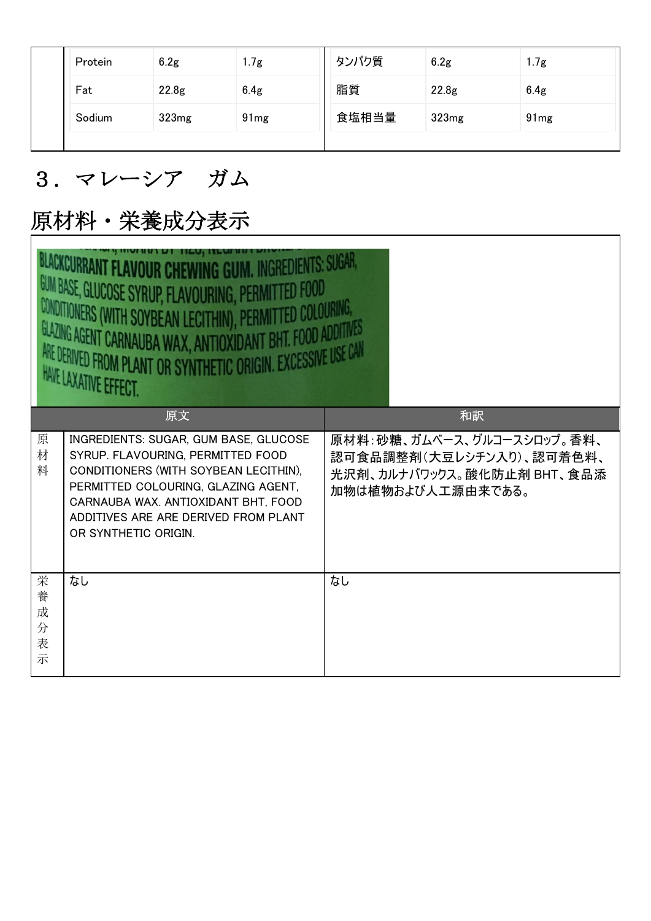|  | Protein | 6.2 <sub>g</sub>  | 1.7g             | タンパク質 | 6.2g  | 1.7g             |
|--|---------|-------------------|------------------|-------|-------|------------------|
|  | Fat     | 22.8 <sub>g</sub> | 6.4 <sub>g</sub> | 脂質    | 22.8g | 6.4 <sub>g</sub> |
|  | Sodium  | 323mg             | 91mg             | 食塩相当量 | 323mg | 91 <sub>mg</sub> |
|  |         |                   |                  |       |       |                  |

#### 3.マレーシア ガム

## 原材料・栄養成分表示

|                            | <b>REDIENTS: SUGAR.</b><br><b>JK LNFWING</b><br>GUM BASE, GLUCOSE SYRUP, FLAVOURING, PERMITTED FOOD<br>CONDITIONERS (WITH SOYBEAN LECITHIN), PERMITTED COLOURING,<br>GLAZING AGENT CARNAUBA WAX, ANTIOXIDANT BHT. FOOD ADDITIVES<br>ARE DERIVED FROM PLANT OR SYNTHETIC ORD<br>GIN. EXCESSIVE USE CAN<br>HAVE LAXATIVE EFFECT. |                                                                                                           |  |  |  |  |  |  |
|----------------------------|--------------------------------------------------------------------------------------------------------------------------------------------------------------------------------------------------------------------------------------------------------------------------------------------------------------------------------|-----------------------------------------------------------------------------------------------------------|--|--|--|--|--|--|
|                            | 原文                                                                                                                                                                                                                                                                                                                             | 和訳                                                                                                        |  |  |  |  |  |  |
| 原<br>材<br>料                | INGREDIENTS: SUGAR, GUM BASE, GLUCOSE<br>SYRUP. FLAVOURING, PERMITTED FOOD<br>CONDITIONERS (WITH SOYBEAN LECITHIN).<br>PERMITTED COLOURING, GLAZING AGENT,<br>CARNAUBA WAX. ANTIOXIDANT BHT, FOOD<br>ADDITIVES ARE ARE DERIVED FROM PLANT<br>OR SYNTHETIC ORIGIN.                                                              | 原材料:砂糖、ガムベース、グルコースシロップ。香料、<br>認可食品調整剤(大豆レシチン入り)、認可着色料、<br>光沢剤、カルナバワックス。酸化防止剤 BHT、食品添<br>加物は植物および人工源由来である。 |  |  |  |  |  |  |
| 栄<br>養<br>成<br>分<br>表<br>示 | なし                                                                                                                                                                                                                                                                                                                             | なし                                                                                                        |  |  |  |  |  |  |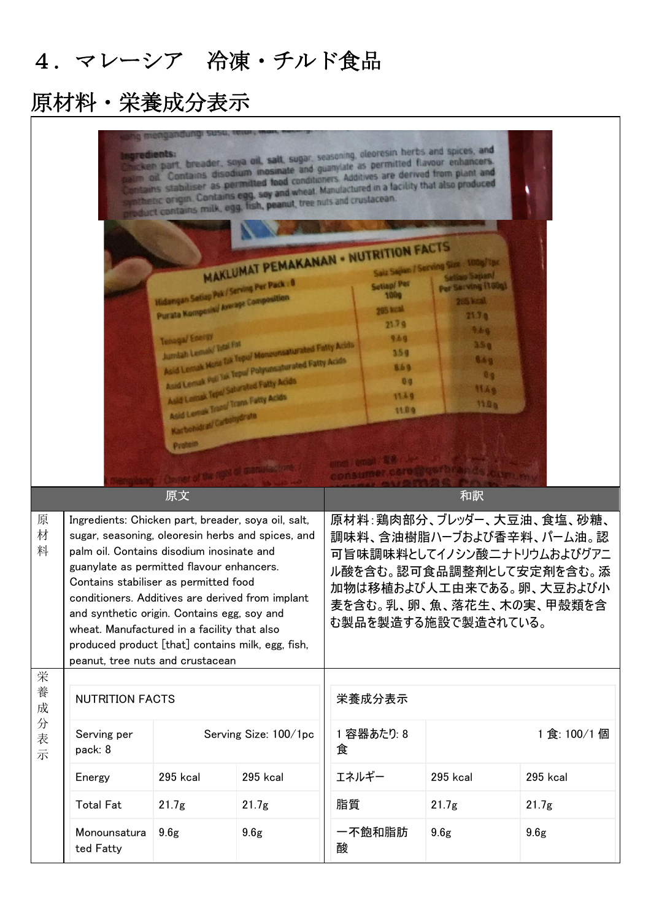### 4.マレーシア 冷凍・チルド食品

## 原材料・栄養成分表示

|                  | cken part, breader, soya oil, salt, sugar, seasoning, oleoresin herbs and spices, and<br>noredients:<br>m oil Contains disodium inosinate and guanylate as permitted flavour enhancers.<br>otains stabiliser as permitted food conditioners. Additives are derived from plant and<br>athetic origin. Contains egg, say and wheat. Manufactured in a facility that also produced<br>reuct contains milk, egg. fish, peanut, tree nuts and crustacean.<br><b>MAKLUMAT PEMAKANAN . NUTRITION FACTS</b><br>Saiz Sajian / Serving Size : 100g/1pc<br>Setting Sayson!<br>Hidangan Sotiap Pek / Serving Per Pack : 0<br><b>Setiap/Per</b><br>Per Serving (188g)<br>1990<br>Purata Komposiul Average Composition<br>26 kcal<br><b>295 kcal</b><br>2130<br>21.79<br>9.46<br>Tenaga/ Energy<br>9.69<br>Asid Lonux Mone fak Tepul Monounsaturated Fatty Acids<br>3.5 <sub>0</sub><br>3.59<br>8.6 g<br>Asid Lensk Poli Tak Tepul Polyunsaturated Fatty Acids<br>869<br>0 <sub>0</sub><br>Asid Lemak Teps! Saturated Patty Acids<br>0 <sub>0</sub><br>1149<br>11.49<br>Asid Lemak Trans <sup>/</sup> Trans Fatty Acids<br><b>110a</b><br>11.09<br>Karbohidrat/ Carbohydrate<br>Probest<br>of manusum from |                   |                       |                 |        |                                                                                                                                                                                                      |                   |  |
|------------------|----------------------------------------------------------------------------------------------------------------------------------------------------------------------------------------------------------------------------------------------------------------------------------------------------------------------------------------------------------------------------------------------------------------------------------------------------------------------------------------------------------------------------------------------------------------------------------------------------------------------------------------------------------------------------------------------------------------------------------------------------------------------------------------------------------------------------------------------------------------------------------------------------------------------------------------------------------------------------------------------------------------------------------------------------------------------------------------------------------------------------------------------------------------------------------------------|-------------------|-----------------------|-----------------|--------|------------------------------------------------------------------------------------------------------------------------------------------------------------------------------------------------------|-------------------|--|
| 原<br>材<br>料      | 原文<br>Ingredients: Chicken part, breader, soya oil, salt,<br>sugar, seasoning, oleoresin herbs and spices, and<br>palm oil. Contains disodium inosinate and<br>guanylate as permitted flavour enhancers.<br>Contains stabiliser as permitted food<br>conditioners. Additives are derived from implant<br>and synthetic origin. Contains egg, soy and<br>wheat. Manufactured in a facility that also<br>produced product [that] contains milk, egg, fish,<br>peanut, tree nuts and crustacean                                                                                                                                                                                                                                                                                                                                                                                                                                                                                                                                                                                                                                                                                                 |                   |                       |                 |        | 和訳<br>原材料:鶏肉部分、ブレッダー、大豆油、食塩、砂糖、<br>調味料、含油樹脂ハーブおよび香辛料、パーム油。認<br>可旨味調味料としてイノシン酸ニナトリウムおよびグアニ<br>ル酸を含む。認可食品調整剤として安定剤を含む。添<br>加物は移植および人工由来である。卵、大豆および小<br>麦を含む。乳、卵、魚、落花生、木の実、甲殻類を含<br>む製品を製造する施設で製造されている。 |                   |  |
| 栄<br>養<br>成<br>分 | <b>NUTRITION FACTS</b>                                                                                                                                                                                                                                                                                                                                                                                                                                                                                                                                                                                                                                                                                                                                                                                                                                                                                                                                                                                                                                                                                                                                                                       |                   |                       | 栄養成分表示          |        |                                                                                                                                                                                                      |                   |  |
| 表示               | Serving per<br>pack: 8                                                                                                                                                                                                                                                                                                                                                                                                                                                                                                                                                                                                                                                                                                                                                                                                                                                                                                                                                                                                                                                                                                                                                                       |                   | Serving Size: 100/1pc | 1 容器あたり: 8<br>食 |        | 1食:100/1個                                                                                                                                                                                            |                   |  |
|                  | Energy                                                                                                                                                                                                                                                                                                                                                                                                                                                                                                                                                                                                                                                                                                                                                                                                                                                                                                                                                                                                                                                                                                                                                                                       | 295 kcal          | 295 kcal              | エネルギー           |        | 295 kcal                                                                                                                                                                                             | 295 kcal          |  |
|                  | <b>Total Fat</b>                                                                                                                                                                                                                                                                                                                                                                                                                                                                                                                                                                                                                                                                                                                                                                                                                                                                                                                                                                                                                                                                                                                                                                             | 21.7 <sub>g</sub> | 21.7 <sub>g</sub>     | 脂質              |        | 21.7g                                                                                                                                                                                                | 21.7 <sub>g</sub> |  |
|                  | Monounsatura<br>ted Fatty                                                                                                                                                                                                                                                                                                                                                                                                                                                                                                                                                                                                                                                                                                                                                                                                                                                                                                                                                                                                                                                                                                                                                                    | 9.6 <sub>g</sub>  | 9.6 <sub>g</sub>      | 酸               | 一不飽和脂肪 | 9.6 <sub>g</sub>                                                                                                                                                                                     | 9.6 <sub>g</sub>  |  |

 $\overline{\phantom{0}}$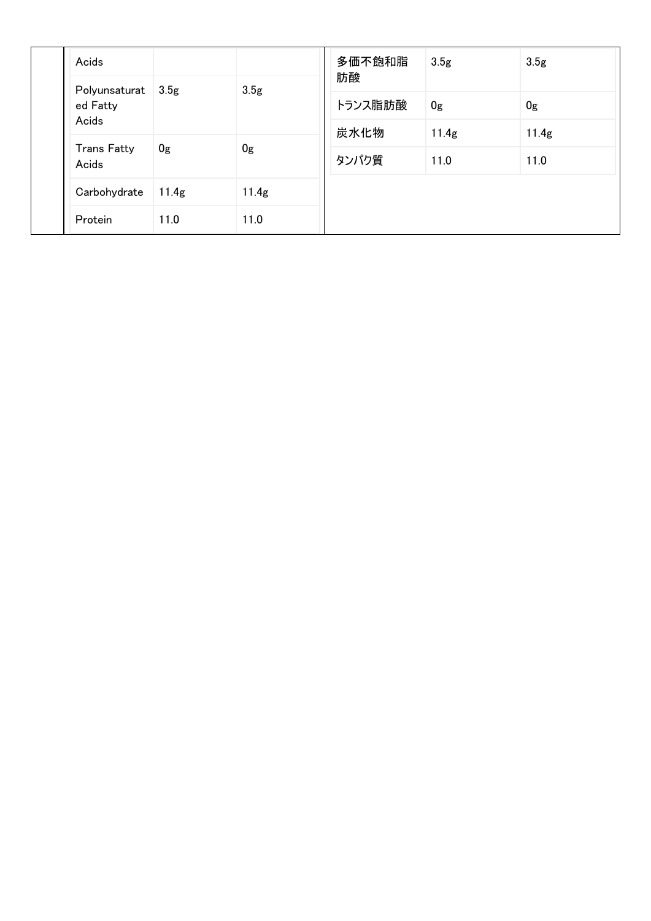|  | Acids                                |                   |                  | 多価不飽和脂<br>肪酸    | 3.5 <sub>g</sub> | 3.5 <sub>g</sub> |
|--|--------------------------------------|-------------------|------------------|-----------------|------------------|------------------|
|  | Polyunsaturat  <br>ed Fatty<br>Acids | 3.5 <sub>g</sub>  | 3.5 <sub>g</sub> | トランス脂肪酸<br>炭水化物 | 0 <sub>g</sub>   | 0g               |
|  |                                      |                   |                  |                 | 11.4g            | 11.4g            |
|  | <b>Trans Fatty</b><br>Acids          | 0g                | 0g               | タンパク質           | 11.0             | 11.0             |
|  | Carbohydrate                         | 11.4 <sub>g</sub> | 11.4g            |                 |                  |                  |
|  | Protein                              | 11.0              | 11.0             |                 |                  |                  |